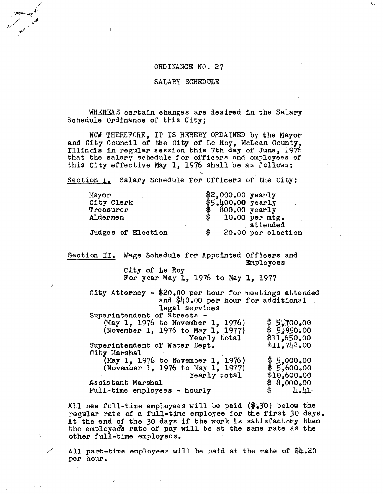## ORDINANCE NO. 27

W

# SALARY SCHEDULE

WHEREAS certain changes are desired in the Salary Schedule Ordinance of this City;

NOW THEREFORE, IT IS HEREBY ORDAINED by the Mayor and City Council of the City of Le Roy, McLean County, Illinois in regular session this 7th day of June, 1976 that the salary schedule for officers and employees of this City effective May 1, 1976 shall be as follows:

Section I. Salary Schedule for Officers of the City:

| Mayor<br>City Clerk   | $$2,000.00$ yearly<br>$$5.400.00$ yearly  |
|-----------------------|-------------------------------------------|
| Treasurer<br>Aldermen | $800.00$ yearly<br>\$<br>$10,00$ per mtg. |
| Judges of Election    | attended<br>$$-20.00$ per election        |

Section II. Wage Schedule for Appointed Officers and Employees

City of Le Roy For year May  $1, 1976$  to May  $1, 1977$ 

City Attorney - \$20.00 per hour for meetings attended and  $$40.00$  per hour for additional. legal services Superintendent of Streets - (May 1, 1976 to November 1, 1976)  $\frac{1}{7}$  5,700.00 (November 1, 1976 to May 1, 1977)  $\frac{6}{5.950.00}$ mber 1, 1976)<br>
May 1, 1977) \$5,950.00<br>
Yearly total \$11,650.00<br>
bept. \$11,742.00 Superintendent of Water Dept. City Marshal (May 1, 1976 to November 1, 1976) \$5,000.00<br>(November 1, 1976 to May 1, 1977) \$5,600.00<br>Yearly total \$10,600.00 (November 1, 1976 to May 1, 1977)

Yearly total \$10,600.00<br>8,000.00 \$ As sis tant Marshal<br>Full-time employees - hourly  $\begin{array}{c} \text{\$} 8,000.00 \\ \text{+}41 \end{array}$ 

All new full-time employees will be paid  $(*s30)$  below the regular rate of a full-time employee for the first 30 days. At the end of the 30 days if the work is satisfactory then the employee's rate of pay will be at the same rate as the other full-time employees.

All part-time employees will be paid at the rate of  $#4.20$ per hour..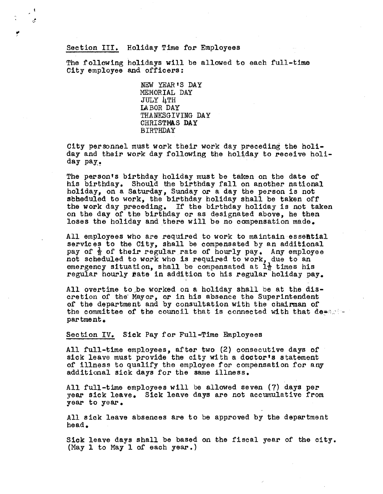# Section III. Holiday Time for Employees

The following holidays will be allowed to each full-time City employee and officers;

> NEW YEAR IS DAY MEMORIAL DAY JULY 4TH LA BOR DAY THANKSGIVING DAY CHRISTMAS DAY BIRTHDAY

City personnel must work their work day preceding the holiday and their work day following the holiday to receive holiday pay,

The personts birthday holiday must be taken on the date of his birthday. Should the birthday fall on another national holiday, on a Saturday, Sunday or a day the person is not stheduled to work, the birthday holiday shall be taken off the work day preceding. If the birthday holiday is not taken on the day of the birthday or as designated above, he then loses the holiday and there will be no compensation made.

All employees who are required to work to maintain essential services to the City, shall be compensated by an additional pay of  $\frac{1}{2}$  of their regular rate of hourly pay. Any employee not scheduled to work who is required to work, due to an emergency situation, shall be compensated at  $1\frac{1}{2}$  times his regular hourly rate in addition to his regular holiday pay.

All overtime to be worked on a holiday shall be at the discretion of the Mayor, or in his absence the Superintendent of the department and by consultation with the chairman of the committee of the council that is connected with that dees  $\mathbb{R}^n$ par tme nt

Section IV. Sick Pay for Full-Time Employees

All full-time employees, after two (2) consecutive days of sick leave must provide the city with a doctor's statement of illness to qualify the employee for compensation for any additional sick days for the same illness,

All full-time employees will be allowed seven ( 7) days per year sick leave, Sick leave days are not accumulative from year to year,

All sick leave absences are to be approved by the department head.

Sick leave days shall be based on the fiscal year of the city. (May 1 to May 1 of each year.)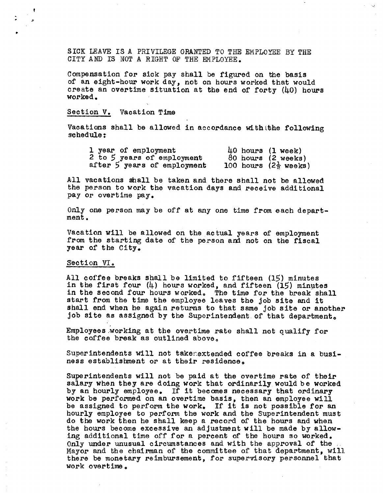SICK LEAVE IS A PRIVILEGE GRANTED TO THE EMPLOYEE BY THE CITY AND IS NOT A RIGHT OF THE EMPLOYEE.

 $\sim$ 

Compensation for sick pay shall be figured on the basis of an eight-hour work day, not on hours worked that would create an overtime situation at the end of forty (40) hours worked.

## Section V. Vacation Time

Vacations shall be allowed in accordance withithe following schedule

| 1 year of employment        | $40$ hours $(1$ week)            |  |
|-----------------------------|----------------------------------|--|
| 2 to 5 years of employment  | $80$ hours $(2 \text{ weeks})$   |  |
| after 5 years of employment | 100 hours $(2\frac{1}{2}$ weeks) |  |

All vacations shall be taken and there shall not be allowed the person to work the vacation days and receive additional pay or overtime pay.

Only one person may be off at any one time from each department.

Vacation will be allowed on the actual years of employment from the starting date of the person and not on the fiscal year of the City.

#### Section VI.

All coffee breaks shall be limited to fifteen (15) minutes in the first four  $(4)$  hours worked, and fifteen  $(15)$  minutes in the second four hours worked. The time for the break shall start from the time the employee leaves the job site and it shall end when he again returns to that same job site or another job site as assigned by the Superintendent of that department.

Employees working at the overtime rate shall not qualify for the coffee break as outlined above.

Superintendents will not taker extended coffee breaks in a business establishment or at their residence.

Superintendents will not be paid at the overtime rate of their salary when they are doing work that ordinarily would be worked by an hourly employee. If it becomes necessary that ordinary work be performed on an overtime basis, then an employee will be assigned to perform the work. If it is not possible for an hourly employee to perform the work and the Superintendent must do the work then he shall keep a record of the hours and when the hours become excessive an adjustment will be made by allowing additional time off for a percent of the hours so worked. Only under unusual circumstances and with the approval of the Mayor and the chairman of the committee of that department, will there be monetary reimbursement, for supervisory personnel that work overtime.